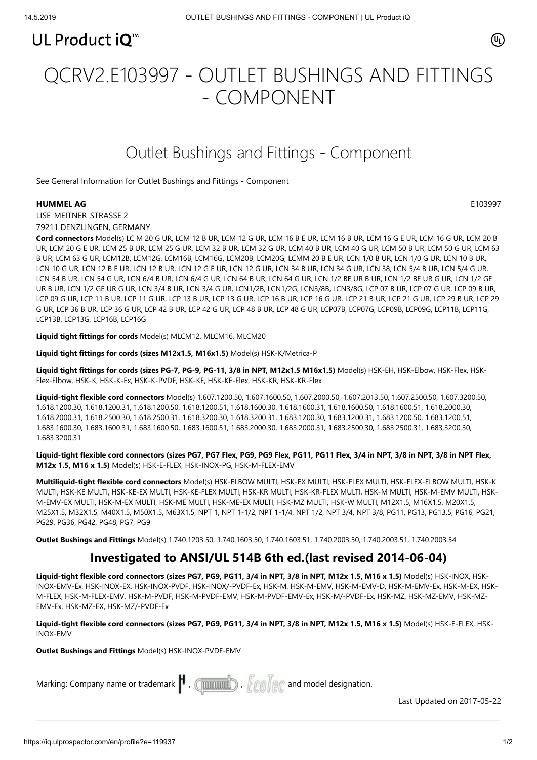

# QCRV2.E103997 - OUTLET BUSHINGS AND FITTINGS - COMPONENT

## Outlet Bushings and Fittings - Component

[See General Information for Outlet Bushings and Fittings - Component](https://iq.ulprospector.com/cgi-bin/XYV/template/LISEXT/1FRAME/showpage.html?&name=QCRV2.GuideInfo&ccnshorttitle=Outlet+Bushings+and+Fittings+-+Component&objid=1073785302&cfgid=1073741824&version=versionless&parent_id=1073785301&sequence=1)

#### **HUMMEL AG** E103997

 $(\mathbb{q})$ 

LISE-MEITNER-STRASSE 2 79211 DENZLINGEN, GERMANY

**Cord connectors** Model(s) LC M 20 G UR, LCM 12 B UR, LCM 12 G UR, LCM 16 B E UR, LCM 16 B UR, LCM 16 G E UR, LCM 16 G UR, LCM 20 B UR, LCM 20 G E UR, LCM 25 B UR, LCM 25 G UR, LCM 32 B UR, LCM 32 G UR, LCM 40 B UR, LCM 40 G UR, LCM 50 B UR, LCM 50 G UR, LCM 63 B UR, LCM 63 G UR, LCM12B, LCM12G, LCM16B, LCM16G, LCM20B, LCM20G, LCMM 20 B E UR, LCN 1/0 B UR, LCN 1/0 G UR, LCN 10 B UR, LCN 10 G UR, LCN 12 B E UR, LCN 12 B UR, LCN 12 G E UR, LCN 12 G UR, LCN 34 B UR, LCN 34 G UR, LCN 38, LCN 5/4 B UR, LCN 5/4 G UR, LCN 54 B UR, LCN 54 G UR, LCN 6/4 B UR, LCN 6/4 G UR, LCN 64 B UR, LCN 64 G UR, LCN 1/2 BE UR B UR, LCN 1/2 BE UR G UR, LCN 1/2 GE UR B UR, LCN 1/2 GE UR G UR, LCN 3/4 B UR, LCN 3/4 G UR, LCN1/2B, LCN1/2G, LCN3/8B, LCN3/8G, LCP 07 B UR, LCP 07 G UR, LCP 09 B UR, LCP 09 G UR, LCP 11 B UR, LCP 11 G UR, LCP 13 B UR, LCP 13 G UR, LCP 16 B UR, LCP 16 G UR, LCP 21 B UR, LCP 21 G UR, LCP 29 B UR, LCP 29 G UR, LCP 36 B UR, LCP 36 G UR, LCP 42 B UR, LCP 42 G UR, LCP 48 B UR, LCP 48 G UR, LCP07B, LCP07G, LCP09B, LCP09G, LCP11B, LCP11G, LCP13B, LCP13G, LCP16B, LCP16G

**Liquid tight fittings for cords** Model(s) MLCM12, MLCM16, MLCM20

**Liquid tight fittings for cords (sizes M12x1.5, M16x1.5)** Model(s) HSK-K/Metrica-P

Liquid tight fittings for cords (sizes PG-7, PG-9, PG-11, 3/8 in NPT, M12x1.5 M16x1.5) Model(s) HSK-EH, HSK-Elbow, HSK-Flex, HSK-Flex-Elbow, HSK-K, HSK-K-Ex, HSK-K-PVDF, HSK-KE, HSK-KE-Flex, HSK-KR, HSK-KR-Flex

**Liquid-tight flexible cord connectors** Model(s) 1.607.1200.50, 1.607.1600.50, 1.607.2000.50, 1.607.2013.50, 1.607.2500.50, 1.607.3200.50, 1.618.1200.30, 1.618.1200.31, 1.618.1200.50, 1.618.1200.51, 1.618.1600.30, 1.618.1600.31, 1.618.1600.50, 1.618.1600.51, 1.618.2000.30, 1.618.2000.31, 1.618.2500.30, 1.618.2500.31, 1.618.3200.30, 1.618.3200.31, 1.683.1200.30, 1.683.1200.31, 1.683.1200.50, 1.683.1200.51, 1.683.1600.30, 1.683.1600.31, 1.683.1600.50, 1.683.1600.51, 1.683.2000.30, 1.683.2000.31, 1.683.2500.30, 1.683.2500.31, 1.683.3200.30, 1.683.3200.31

**Liquid-tight flexible cord connectors (sizes PG7, PG7 Flex, PG9, PG9 Flex, PG11, PG11 Flex, 3/4 in NPT, 3/8 in NPT, 3/8 in NPT Flex, M12x 1.5, M16 x 1.5)** Model(s) HSK-E-FLEX, HSK-INOX-PG, HSK-M-FLEX-EMV

**Multiliquid-tight flexible cord connectors** Model(s) HSK-ELBOW MULTI, HSK-EX MULTI, HSK-FLEX MULTI, HSK-FLEX-ELBOW MULTI, HSK-K MULTI, HSK-KE MULTI, HSK-KE-EX MULTI, HSK-KE-FLEX MULTI, HSK-KR MULTI, HSK-KR-FLEX MULTI, HSK-M MULTI, HSK-M-EMV MULTI, HSK-M-EMV-EX MULTI, HSK-M-EX MULTI, HSK-ME MULTI, HSK-ME-EX MULTI, HSK-MZ MULTI, HSK-W MULTI, M12X1.5, M16X1.5, M20X1.5, M25X1.5, M32X1.5, M40X1.5, M50X1.5, M63X1.5, NPT 1, NPT 1-1/2, NPT 1-1/4, NPT 1/2, NPT 3/4, NPT 3/8, PG11, PG13, PG13.5, PG16, PG21, PG29, PG36, PG42, PG48, PG7, PG9

**Outlet Bushings and Fittings** Model(s) 1.740.1203.50, 1.740.1603.50, 1.740.1603.51, 1.740.2003.50, 1.740.2003.51, 1.740.2003.54

### **Investigated to ANSI/UL 514B 6th ed.(last revised 2014-06-04)**

**Liquid-tight flexible cord connectors (sizes PG7, PG9, PG11, 3/4 in NPT, 3/8 in NPT, M12x 1.5, M16 x 1.5)** Model(s) HSK-INOX, HSK-INOX-EMV-Ex, HSK-INOX-EX, HSK-INOX-PVDF, HSK-INOX/-PVDF-Ex, HSK-M, HSK-M-EMV, HSK-M-EMV-D, HSK-M-EMV-Ex, HSK-M-EX, HSK-M-FLEX, HSK-M-FLEX-EMV, HSK-M-PVDF, HSK-M-PVDF-EMV, HSK-M-PVDF-EMV-Ex, HSK-M/-PVDF-Ex, HSK-MZ, HSK-MZ-EMV, HSK-MZ-EMV-Ex, HSK-MZ-EX, HSK-MZ/-PVDF-Ex

**Liquid-tight flexible cord connectors (sizes PG7, PG9, PG11, 3/4 in NPT, 3/8 in NPT, M12x 1.5, M16 x 1.5)** Model(s) HSK-E-FLEX, HSK-INOX-EMV

**Outlet Bushings and Fittings** Model(s) HSK-INOX-PVDF-EMV

Marking: Company name or trademark  $\Vert$  ,  $\Vert$   $\Vert$   $\Vert$   $\Vert$   $\Vert$   $\Vert$   $\Vert$  and model designation.

[Last Updated](javascript:openit() on 2017-05-22